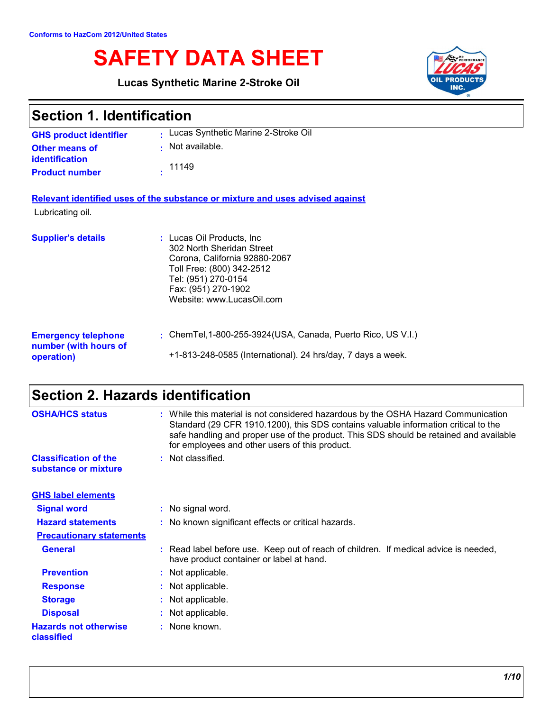# **SAFETY DATA SHEET**

**Lucas Synthetic Marine 2-Stroke Oil**



| <b>Section 1. Identification</b>                                  |                                                                                                                                                                                                  |  |
|-------------------------------------------------------------------|--------------------------------------------------------------------------------------------------------------------------------------------------------------------------------------------------|--|
| <b>GHS product identifier</b>                                     | Lucas Synthetic Marine 2-Stroke Oil                                                                                                                                                              |  |
| <b>Other means of</b><br>identification                           | Not available.                                                                                                                                                                                   |  |
| <b>Product number</b>                                             | 11149                                                                                                                                                                                            |  |
|                                                                   | Relevant identified uses of the substance or mixture and uses advised against                                                                                                                    |  |
| Lubricating oil.                                                  |                                                                                                                                                                                                  |  |
| <b>Supplier's details</b>                                         | : Lucas Oil Products, Inc.<br>302 North Sheridan Street<br>Corona, California 92880-2067<br>Toll Free: (800) 342-2512<br>Tel: (951) 270-0154<br>Fax: (951) 270-1902<br>Website: www.LucasOil.com |  |
| <b>Emergency telephone</b><br>number (with hours of<br>operation) | : ChemTel, 1-800-255-3924 (USA, Canada, Puerto Rico, US V.I.)<br>+1-813-248-0585 (International). 24 hrs/day, 7 days a week.                                                                     |  |

## **Section 2. Hazards identification**

| <b>OSHA/HCS status</b>                               | While this material is not considered hazardous by the OSHA Hazard Communication<br>Standard (29 CFR 1910.1200), this SDS contains valuable information critical to the<br>safe handling and proper use of the product. This SDS should be retained and available<br>for employees and other users of this product. |
|------------------------------------------------------|---------------------------------------------------------------------------------------------------------------------------------------------------------------------------------------------------------------------------------------------------------------------------------------------------------------------|
| <b>Classification of the</b><br>substance or mixture | : Not classified.                                                                                                                                                                                                                                                                                                   |
| <b>GHS label elements</b>                            |                                                                                                                                                                                                                                                                                                                     |
| <b>Signal word</b>                                   | : No signal word.                                                                                                                                                                                                                                                                                                   |
| <b>Hazard statements</b>                             | : No known significant effects or critical hazards.                                                                                                                                                                                                                                                                 |
| <b>Precautionary statements</b>                      |                                                                                                                                                                                                                                                                                                                     |
| <b>General</b>                                       | : Read label before use. Keep out of reach of children. If medical advice is needed,<br>have product container or label at hand.                                                                                                                                                                                    |
| <b>Prevention</b>                                    | Not applicable.                                                                                                                                                                                                                                                                                                     |
| <b>Response</b>                                      | Not applicable.                                                                                                                                                                                                                                                                                                     |
| <b>Storage</b>                                       | : Not applicable.                                                                                                                                                                                                                                                                                                   |
| <b>Disposal</b>                                      | Not applicable.                                                                                                                                                                                                                                                                                                     |
| <b>Hazards not otherwise</b><br>classified           | None known.                                                                                                                                                                                                                                                                                                         |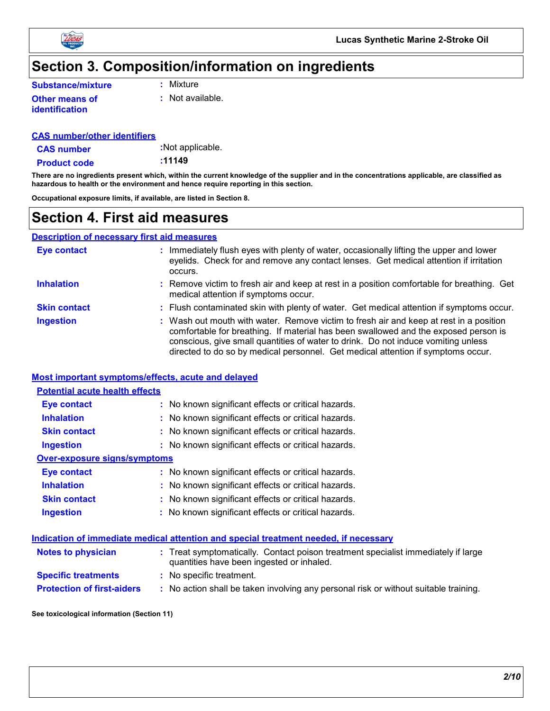

### **Section 3. Composition/information on ingredients**

**:** Mixture

**Other means of identification**

**:** Not available.

#### **CAS number/other identifiers**

**CAS number**

**:**Not applicable.

**:11149**

**Product code**

**There are no ingredients present which, within the current knowledge of the supplier and in the concentrations applicable, are classified as hazardous to health or the environment and hence require reporting in this section.**

**Occupational exposure limits, if available, are listed in Section 8.**

## **Section 4. First aid measures**

#### **Description of necessary first aid measures**

| Eye contact         | : Immediately flush eyes with plenty of water, occasionally lifting the upper and lower<br>eyelids. Check for and remove any contact lenses. Get medical attention if irritation<br>occurs.                                                                                                                                                            |
|---------------------|--------------------------------------------------------------------------------------------------------------------------------------------------------------------------------------------------------------------------------------------------------------------------------------------------------------------------------------------------------|
| <b>Inhalation</b>   | : Remove victim to fresh air and keep at rest in a position comfortable for breathing. Get<br>medical attention if symptoms occur.                                                                                                                                                                                                                     |
| <b>Skin contact</b> | : Flush contaminated skin with plenty of water. Get medical attention if symptoms occur.                                                                                                                                                                                                                                                               |
| <b>Ingestion</b>    | : Wash out mouth with water. Remove victim to fresh air and keep at rest in a position<br>comfortable for breathing. If material has been swallowed and the exposed person is<br>conscious, give small quantities of water to drink. Do not induce vomiting unless<br>directed to do so by medical personnel. Get medical attention if symptoms occur. |

#### **Most important symptoms/effects, acute and delayed**

| <b>Potential acute health effects</b> |  |                                                     |  |  |  |
|---------------------------------------|--|-----------------------------------------------------|--|--|--|
| Eye contact                           |  | : No known significant effects or critical hazards. |  |  |  |
| <b>Inhalation</b>                     |  | : No known significant effects or critical hazards. |  |  |  |
| <b>Skin contact</b>                   |  | : No known significant effects or critical hazards. |  |  |  |
| <b>Ingestion</b>                      |  | : No known significant effects or critical hazards. |  |  |  |
| Over-exposure signs/symptoms          |  |                                                     |  |  |  |
| <b>Eye contact</b>                    |  | : No known significant effects or critical hazards. |  |  |  |
| <b>Inhalation</b>                     |  | : No known significant effects or critical hazards. |  |  |  |
| <b>Skin contact</b>                   |  | : No known significant effects or critical hazards. |  |  |  |
| <b>Ingestion</b>                      |  | : No known significant effects or critical hazards. |  |  |  |

#### **Indication of immediate medical attention and special treatment needed, if necessary**

| <b>Notes to physician</b>         | : Treat symptomatically. Contact poison treatment specialist immediately if large<br>quantities have been ingested or inhaled. |
|-----------------------------------|--------------------------------------------------------------------------------------------------------------------------------|
| <b>Specific treatments</b>        | : No specific treatment.                                                                                                       |
| <b>Protection of first-aiders</b> | No action shall be taken involving any personal risk or without suitable training.                                             |

#### **See toxicological information (Section 11)**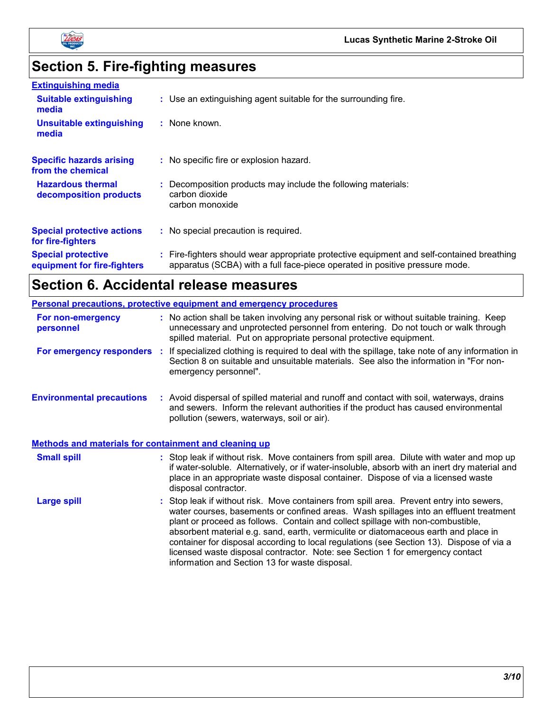

# **Section 5. Fire-fighting measures**

| <b>Extinguishing media</b>                               |                                                                                                                                                                        |
|----------------------------------------------------------|------------------------------------------------------------------------------------------------------------------------------------------------------------------------|
| <b>Suitable extinguishing</b><br>media                   | : Use an extinguishing agent suitable for the surrounding fire.                                                                                                        |
| <b>Unsuitable extinguishing</b><br>media                 | : None known.                                                                                                                                                          |
| <b>Specific hazards arising</b><br>from the chemical     | : No specific fire or explosion hazard.                                                                                                                                |
| <b>Hazardous thermal</b><br>decomposition products       | Decomposition products may include the following materials:<br>carbon dioxide<br>carbon monoxide                                                                       |
| <b>Special protective actions</b><br>for fire-fighters   | : No special precaution is required.                                                                                                                                   |
| <b>Special protective</b><br>equipment for fire-fighters | Fire-fighters should wear appropriate protective equipment and self-contained breathing<br>apparatus (SCBA) with a full face-piece operated in positive pressure mode. |

## **Section 6. Accidental release measures**

|                                                              | Personal precautions, protective equipment and emergency procedures                                                                                                                                                                                                                                                                                                                                                                                                                                                                                                                        |
|--------------------------------------------------------------|--------------------------------------------------------------------------------------------------------------------------------------------------------------------------------------------------------------------------------------------------------------------------------------------------------------------------------------------------------------------------------------------------------------------------------------------------------------------------------------------------------------------------------------------------------------------------------------------|
| For non-emergency<br>personnel                               | : No action shall be taken involving any personal risk or without suitable training. Keep<br>unnecessary and unprotected personnel from entering. Do not touch or walk through<br>spilled material. Put on appropriate personal protective equipment.                                                                                                                                                                                                                                                                                                                                      |
| For emergency responders :                                   | If specialized clothing is required to deal with the spillage, take note of any information in<br>Section 8 on suitable and unsuitable materials. See also the information in "For non-<br>emergency personnel".                                                                                                                                                                                                                                                                                                                                                                           |
| <b>Environmental precautions</b>                             | : Avoid dispersal of spilled material and runoff and contact with soil, waterways, drains<br>and sewers. Inform the relevant authorities if the product has caused environmental<br>pollution (sewers, waterways, soil or air).                                                                                                                                                                                                                                                                                                                                                            |
| <b>Methods and materials for containment and cleaning up</b> |                                                                                                                                                                                                                                                                                                                                                                                                                                                                                                                                                                                            |
| <b>Small spill</b>                                           | : Stop leak if without risk. Move containers from spill area. Dilute with water and mop up<br>if water-soluble. Alternatively, or if water-insoluble, absorb with an inert dry material and<br>place in an appropriate waste disposal container. Dispose of via a licensed waste<br>disposal contractor.                                                                                                                                                                                                                                                                                   |
| <b>Large spill</b>                                           | : Stop leak if without risk. Move containers from spill area. Prevent entry into sewers,<br>water courses, basements or confined areas. Wash spillages into an effluent treatment<br>plant or proceed as follows. Contain and collect spillage with non-combustible,<br>absorbent material e.g. sand, earth, vermiculite or diatomaceous earth and place in<br>container for disposal according to local regulations (see Section 13). Dispose of via a<br>licensed waste disposal contractor. Note: see Section 1 for emergency contact<br>information and Section 13 for waste disposal. |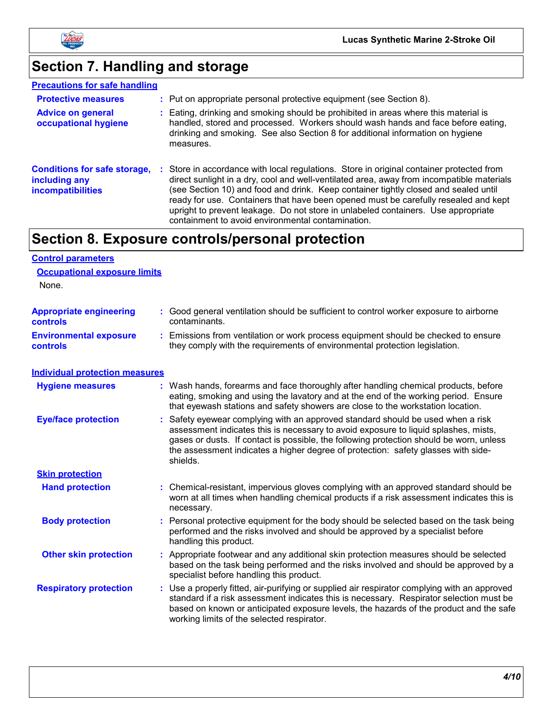

# **Section 7. Handling and storage**

| <b>Precautions for safe handling</b>                                             |                                                                                                                                                                                                                                                                                                                                                                                                                                                          |
|----------------------------------------------------------------------------------|----------------------------------------------------------------------------------------------------------------------------------------------------------------------------------------------------------------------------------------------------------------------------------------------------------------------------------------------------------------------------------------------------------------------------------------------------------|
| <b>Protective measures</b>                                                       | : Put on appropriate personal protective equipment (see Section 8).                                                                                                                                                                                                                                                                                                                                                                                      |
| <b>Advice on general</b><br>occupational hygiene                                 | : Eating, drinking and smoking should be prohibited in areas where this material is<br>handled, stored and processed. Workers should wash hands and face before eating,<br>drinking and smoking. See also Section 8 for additional information on hygiene<br>measures.                                                                                                                                                                                   |
| <b>Conditions for safe storage,</b><br>including any<br><i>incompatibilities</i> | : Store in accordance with local regulations. Store in original container protected from<br>direct sunlight in a dry, cool and well-ventilated area, away from incompatible materials<br>(see Section 10) and food and drink. Keep container tightly closed and sealed until<br>ready for use. Containers that have been opened must be carefully resealed and kept<br>upright to prevent leakage. Do not store in unlabeled containers. Use appropriate |

containment to avoid environmental contamination.

## **Section 8. Exposure controls/personal protection**

| <b>Control parameters</b>                         |                                                                                                                                                                                                                                                                                                                                                                  |
|---------------------------------------------------|------------------------------------------------------------------------------------------------------------------------------------------------------------------------------------------------------------------------------------------------------------------------------------------------------------------------------------------------------------------|
| <b>Occupational exposure limits</b>               |                                                                                                                                                                                                                                                                                                                                                                  |
| None.                                             |                                                                                                                                                                                                                                                                                                                                                                  |
| <b>Appropriate engineering</b><br><b>controls</b> | : Good general ventilation should be sufficient to control worker exposure to airborne<br>contaminants.                                                                                                                                                                                                                                                          |
| <b>Environmental exposure</b><br><b>controls</b>  | : Emissions from ventilation or work process equipment should be checked to ensure<br>they comply with the requirements of environmental protection legislation.                                                                                                                                                                                                 |
| <b>Individual protection measures</b>             |                                                                                                                                                                                                                                                                                                                                                                  |
| <b>Hygiene measures</b>                           | : Wash hands, forearms and face thoroughly after handling chemical products, before<br>eating, smoking and using the lavatory and at the end of the working period. Ensure<br>that eyewash stations and safety showers are close to the workstation location.                                                                                                    |
| <b>Eye/face protection</b>                        | Safety eyewear complying with an approved standard should be used when a risk<br>assessment indicates this is necessary to avoid exposure to liquid splashes, mists,<br>gases or dusts. If contact is possible, the following protection should be worn, unless<br>the assessment indicates a higher degree of protection: safety glasses with side-<br>shields. |
| <b>Skin protection</b>                            |                                                                                                                                                                                                                                                                                                                                                                  |
| <b>Hand protection</b>                            | : Chemical-resistant, impervious gloves complying with an approved standard should be<br>worn at all times when handling chemical products if a risk assessment indicates this is<br>necessary.                                                                                                                                                                  |
| <b>Body protection</b>                            | : Personal protective equipment for the body should be selected based on the task being<br>performed and the risks involved and should be approved by a specialist before<br>handling this product.                                                                                                                                                              |
| <b>Other skin protection</b>                      | : Appropriate footwear and any additional skin protection measures should be selected<br>based on the task being performed and the risks involved and should be approved by a<br>specialist before handling this product.                                                                                                                                        |
| <b>Respiratory protection</b>                     | : Use a properly fitted, air-purifying or supplied air respirator complying with an approved<br>standard if a risk assessment indicates this is necessary. Respirator selection must be<br>based on known or anticipated exposure levels, the hazards of the product and the safe<br>working limits of the selected respirator.                                  |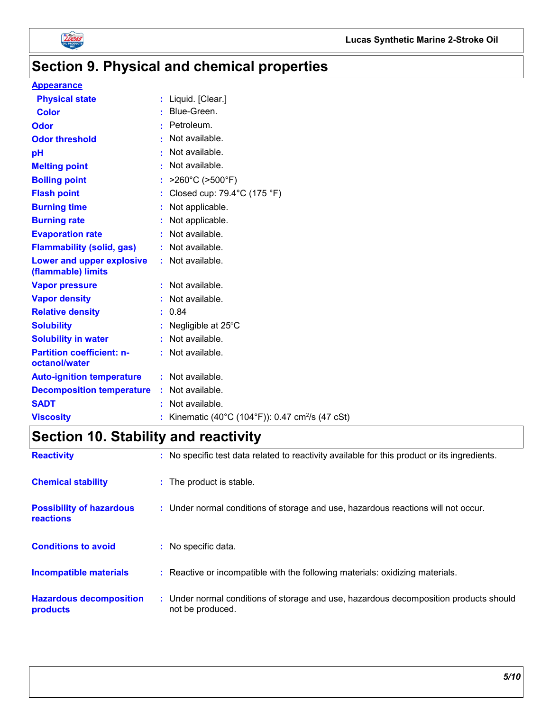

## **Section 9. Physical and chemical properties**

#### **Appearance**

| <b>Physical state</b>                                  |    | : Liquid. [Clear.]                                         |
|--------------------------------------------------------|----|------------------------------------------------------------|
| <b>Color</b>                                           |    | Blue-Green.                                                |
| <b>Odor</b>                                            |    | Petroleum.                                                 |
| <b>Odor threshold</b>                                  |    | Not available.                                             |
| pH                                                     |    | Not available.                                             |
| <b>Melting point</b>                                   |    | Not available.                                             |
| <b>Boiling point</b>                                   |    | $>260^{\circ}$ C ( $>500^{\circ}$ F)                       |
| <b>Flash point</b>                                     |    | Closed cup: 79.4°C (175 °F)                                |
| <b>Burning time</b>                                    |    | Not applicable.                                            |
| <b>Burning rate</b>                                    |    | Not applicable.                                            |
| <b>Evaporation rate</b>                                |    | Not available.                                             |
| <b>Flammability (solid, gas)</b>                       |    | : Not available.                                           |
| <b>Lower and upper explosive</b><br>(flammable) limits |    | : Not available.                                           |
| <b>Vapor pressure</b>                                  |    | Not available.                                             |
| <b>Vapor density</b>                                   |    | : Not available.                                           |
| <b>Relative density</b>                                |    | : 0.84                                                     |
| <b>Solubility</b>                                      |    | Negligible at 25°C                                         |
| <b>Solubility in water</b>                             |    | : Not available.                                           |
| <b>Partition coefficient: n-</b>                       |    | : Not available.                                           |
| octanol/water                                          |    |                                                            |
| <b>Auto-ignition temperature</b>                       |    | : Not available.                                           |
| <b>Decomposition temperature</b>                       | ÷. | Not available.                                             |
| <b>SADT</b>                                            |    | Not available.                                             |
| <b>Viscosity</b>                                       |    | Kinematic (40°C (104°F)): 0.47 cm <sup>2</sup> /s (47 cSt) |

## **Section 10. Stability and reactivity**

| <b>Reactivity</b>                                   | : No specific test data related to reactivity available for this product or its ingredients.              |
|-----------------------------------------------------|-----------------------------------------------------------------------------------------------------------|
| <b>Chemical stability</b>                           | : The product is stable.                                                                                  |
| <b>Possibility of hazardous</b><br><b>reactions</b> | : Under normal conditions of storage and use, hazardous reactions will not occur.                         |
| <b>Conditions to avoid</b>                          | : No specific data.                                                                                       |
| <b>Incompatible materials</b>                       | : Reactive or incompatible with the following materials: oxidizing materials.                             |
| <b>Hazardous decomposition</b><br>products          | : Under normal conditions of storage and use, hazardous decomposition products should<br>not be produced. |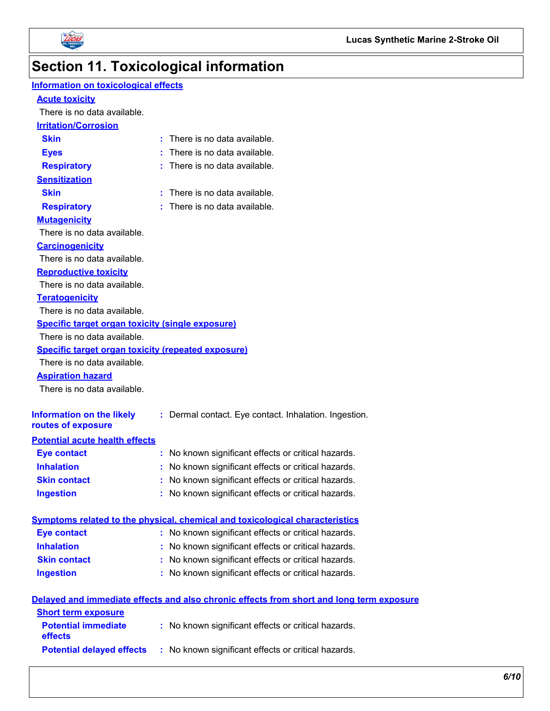



# **Section 11. Toxicological information**

| <b>Information on toxicological effects</b>               |                                                                                          |
|-----------------------------------------------------------|------------------------------------------------------------------------------------------|
| <b>Acute toxicity</b>                                     |                                                                                          |
| There is no data available.                               |                                                                                          |
| <b>Irritation/Corrosion</b>                               |                                                                                          |
| <b>Skin</b>                                               | : There is no data available.                                                            |
| <b>Eyes</b>                                               | : There is no data available.                                                            |
| <b>Respiratory</b>                                        | : There is no data available.                                                            |
| <b>Sensitization</b>                                      |                                                                                          |
| <b>Skin</b>                                               | : There is no data available.                                                            |
| <b>Respiratory</b>                                        | : There is no data available.                                                            |
| <b>Mutagenicity</b>                                       |                                                                                          |
| There is no data available.                               |                                                                                          |
| <b>Carcinogenicity</b>                                    |                                                                                          |
| There is no data available.                               |                                                                                          |
| <b>Reproductive toxicity</b>                              |                                                                                          |
| There is no data available.                               |                                                                                          |
| <b>Teratogenicity</b>                                     |                                                                                          |
| There is no data available.                               |                                                                                          |
| <b>Specific target organ toxicity (single exposure)</b>   |                                                                                          |
| There is no data available.                               |                                                                                          |
| <b>Specific target organ toxicity (repeated exposure)</b> |                                                                                          |
| There is no data available.                               |                                                                                          |
| <b>Aspiration hazard</b>                                  |                                                                                          |
| There is no data available.                               |                                                                                          |
| <b>Information on the likely</b><br>routes of exposure    | : Dermal contact. Eye contact. Inhalation. Ingestion.                                    |
| <b>Potential acute health effects</b>                     |                                                                                          |
| <b>Eye contact</b>                                        | : No known significant effects or critical hazards.                                      |
| <b>Inhalation</b>                                         | : No known significant effects or critical hazards.                                      |
| <b>Skin contact</b>                                       | : No known significant effects or critical hazards.                                      |
| <b>Ingestion</b>                                          | : No known significant effects or critical hazards.                                      |
|                                                           |                                                                                          |
|                                                           | Symptoms related to the physical, chemical and toxicological characteristics             |
| <b>Eye contact</b>                                        | : No known significant effects or critical hazards.                                      |
| <b>Inhalation</b>                                         | : No known significant effects or critical hazards.                                      |
| <b>Skin contact</b>                                       | : No known significant effects or critical hazards.                                      |
| <b>Ingestion</b>                                          | : No known significant effects or critical hazards.                                      |
|                                                           | Delayed and immediate effects and also chronic effects from short and long term exposure |
| <b>Short term exposure</b>                                |                                                                                          |
| <b>Potential immediate</b><br>effects                     | : No known significant effects or critical hazards.                                      |
| <b>Potential delayed effects</b>                          | : No known significant effects or critical hazards.                                      |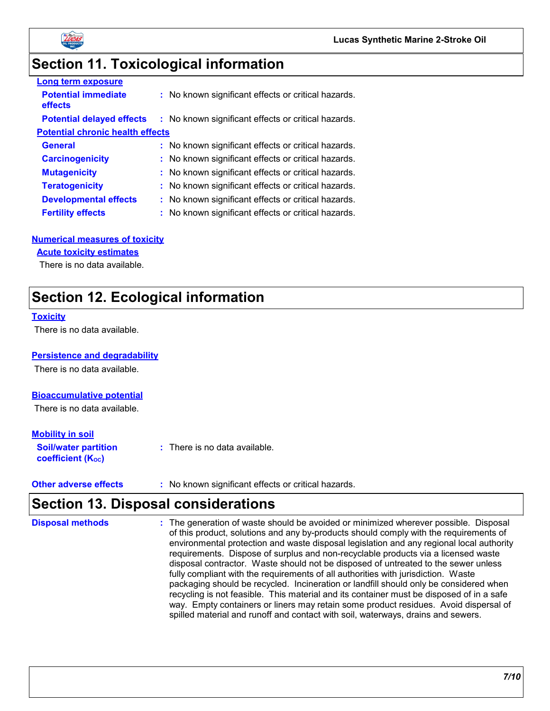



## **Section 11. Toxicological information**

| <b>Long term exposure</b>               |                                                     |
|-----------------------------------------|-----------------------------------------------------|
| <b>Potential immediate</b><br>effects   | : No known significant effects or critical hazards. |
| <b>Potential delayed effects</b>        | : No known significant effects or critical hazards. |
| <b>Potential chronic health effects</b> |                                                     |
| <b>General</b>                          | : No known significant effects or critical hazards. |
| <b>Carcinogenicity</b>                  | : No known significant effects or critical hazards. |
| <b>Mutagenicity</b>                     | : No known significant effects or critical hazards. |
| <b>Teratogenicity</b>                   | : No known significant effects or critical hazards. |
| <b>Developmental effects</b>            | : No known significant effects or critical hazards. |
| <b>Fertility effects</b>                | : No known significant effects or critical hazards. |

#### **Numerical measures of toxicity**

#### **Acute toxicity estimates**

There is no data available.

### **Section 12. Ecological information**

#### **Toxicity**

There is no data available.

#### **Persistence and degradability**

There is no data available.

#### **Bioaccumulative potential**

There is no data available.

#### **Mobility in soil**

| <b>Soil/water partition</b> | : There is no data available. |
|-----------------------------|-------------------------------|
| coefficient $(K_{oc})$      |                               |

**Other adverse effects** : No known significant effects or critical hazards.

### **Section 13. Disposal considerations**

| <b>Disposal methods</b> | : The generation of waste should be avoided or minimized wherever possible. Disposal<br>of this product, solutions and any by-products should comply with the requirements of<br>environmental protection and waste disposal legislation and any regional local authority<br>requirements. Dispose of surplus and non-recyclable products via a licensed waste<br>disposal contractor. Waste should not be disposed of untreated to the sewer unless<br>fully compliant with the requirements of all authorities with jurisdiction. Waste<br>packaging should be recycled. Incineration or landfill should only be considered when<br>recycling is not feasible. This material and its container must be disposed of in a safe<br>way. Empty containers or liners may retain some product residues. Avoid dispersal of |
|-------------------------|------------------------------------------------------------------------------------------------------------------------------------------------------------------------------------------------------------------------------------------------------------------------------------------------------------------------------------------------------------------------------------------------------------------------------------------------------------------------------------------------------------------------------------------------------------------------------------------------------------------------------------------------------------------------------------------------------------------------------------------------------------------------------------------------------------------------|
|                         | spilled material and runoff and contact with soil, waterways, drains and sewers.                                                                                                                                                                                                                                                                                                                                                                                                                                                                                                                                                                                                                                                                                                                                       |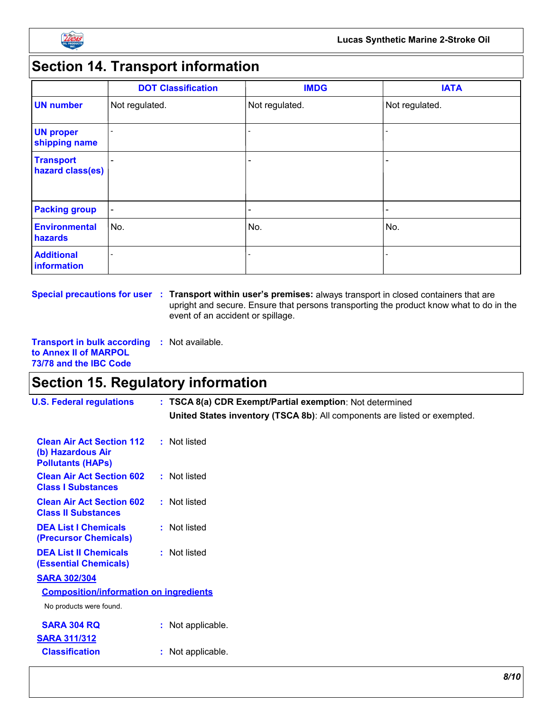

## **Section 14. Transport information**

|                                      | <b>DOT Classification</b> | <b>IMDG</b>              | <b>IATA</b>              |
|--------------------------------------|---------------------------|--------------------------|--------------------------|
| <b>UN number</b>                     | Not regulated.            | Not regulated.           | Not regulated.           |
| <b>UN proper</b><br>shipping name    |                           |                          | $\overline{\phantom{a}}$ |
| <b>Transport</b><br>hazard class(es) | $\overline{\phantom{0}}$  |                          | $\overline{\phantom{0}}$ |
| <b>Packing group</b>                 | $\blacksquare$            | $\overline{\phantom{a}}$ | $\overline{\phantom{a}}$ |
| <b>Environmental</b><br>hazards      | No.                       | No.                      | No.                      |
| <b>Additional</b><br>information     | $\overline{a}$            | $\overline{\phantom{a}}$ |                          |

**Special precautions for user Transport within user's premises:** always transport in closed containers that are **:** upright and secure. Ensure that persons transporting the product know what to do in the event of an accident or spillage.

**Transport in bulk according :** Not available. **to Annex II of MARPOL 73/78 and the IBC Code**

### **Section 15. Regulatory information**

| <b>U.S. Federal regulations</b>                                                   | : TSCA 8(a) CDR Exempt/Partial exemption: Not determined                  |  |
|-----------------------------------------------------------------------------------|---------------------------------------------------------------------------|--|
|                                                                                   | United States inventory (TSCA 8b): All components are listed or exempted. |  |
| <b>Clean Air Act Section 112</b><br>(b) Hazardous Air<br><b>Pollutants (HAPS)</b> | : Not listed                                                              |  |
| <b>Clean Air Act Section 602</b><br><b>Class I Substances</b>                     | : Not listed                                                              |  |
| <b>Clean Air Act Section 602</b><br><b>Class II Substances</b>                    | : Not listed                                                              |  |
| <b>DEA List I Chemicals</b><br>(Precursor Chemicals)                              | : Not listed                                                              |  |
| <b>DEA List II Chemicals</b><br><b>(Essential Chemicals)</b>                      | : Not listed                                                              |  |
| <b>SARA 302/304</b>                                                               |                                                                           |  |
| <b>Composition/information on ingredients</b>                                     |                                                                           |  |
| No products were found.                                                           |                                                                           |  |
| <b>SARA 304 RQ</b><br><b>SARA 311/312</b>                                         | : Not applicable.                                                         |  |
| <b>Classification</b>                                                             | : Not applicable.                                                         |  |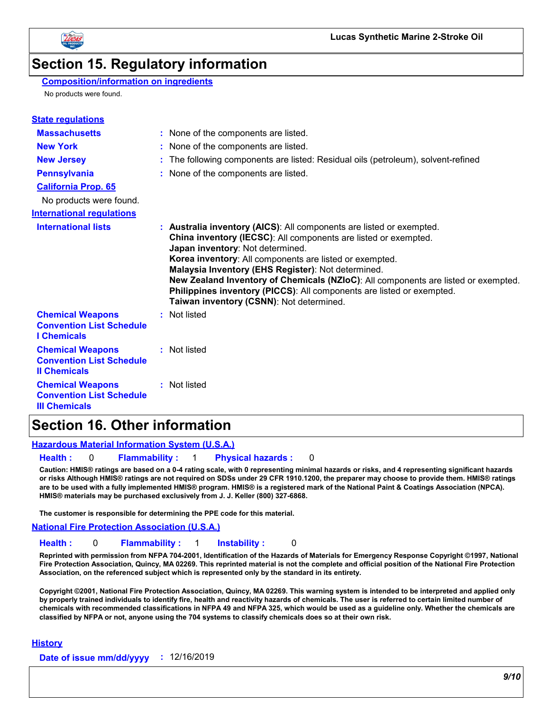

### **Section 15. Regulatory information**

#### **Composition/information on ingredients**

No products were found.

| <b>State regulations</b>                                                           |                                                                                                                                                                                                                                                                                                                                                                                                                                                                                                         |
|------------------------------------------------------------------------------------|---------------------------------------------------------------------------------------------------------------------------------------------------------------------------------------------------------------------------------------------------------------------------------------------------------------------------------------------------------------------------------------------------------------------------------------------------------------------------------------------------------|
| <b>Massachusetts</b>                                                               | : None of the components are listed.                                                                                                                                                                                                                                                                                                                                                                                                                                                                    |
| <b>New York</b>                                                                    | : None of the components are listed.                                                                                                                                                                                                                                                                                                                                                                                                                                                                    |
| <b>New Jersey</b>                                                                  | : The following components are listed: Residual oils (petroleum), solvent-refined                                                                                                                                                                                                                                                                                                                                                                                                                       |
| <b>Pennsylvania</b>                                                                | : None of the components are listed.                                                                                                                                                                                                                                                                                                                                                                                                                                                                    |
| <b>California Prop. 65</b>                                                         |                                                                                                                                                                                                                                                                                                                                                                                                                                                                                                         |
| No products were found.                                                            |                                                                                                                                                                                                                                                                                                                                                                                                                                                                                                         |
| <b>International regulations</b>                                                   |                                                                                                                                                                                                                                                                                                                                                                                                                                                                                                         |
| <b>International lists</b>                                                         | : Australia inventory (AICS): All components are listed or exempted.<br>China inventory (IECSC): All components are listed or exempted.<br>Japan inventory: Not determined.<br>Korea inventory: All components are listed or exempted.<br>Malaysia Inventory (EHS Register): Not determined.<br>New Zealand Inventory of Chemicals (NZIoC): All components are listed or exempted.<br>Philippines inventory (PICCS): All components are listed or exempted.<br>Taiwan inventory (CSNN): Not determined. |
| <b>Chemical Weapons</b><br><b>Convention List Schedule</b><br><b>I</b> Chemicals   | : Not listed                                                                                                                                                                                                                                                                                                                                                                                                                                                                                            |
| <b>Chemical Weapons</b><br><b>Convention List Schedule</b><br><b>Il Chemicals</b>  | : Not listed                                                                                                                                                                                                                                                                                                                                                                                                                                                                                            |
| <b>Chemical Weapons</b><br><b>Convention List Schedule</b><br><b>III Chemicals</b> | : Not listed                                                                                                                                                                                                                                                                                                                                                                                                                                                                                            |

### **Section 16. Other information**

#### **Hazardous Material Information System (U.S.A.)**

**Health :** 0 **Flammability :** 1 **Physical hazards :** 0

**Caution: HMIS® ratings are based on a 0-4 rating scale, with 0 representing minimal hazards or risks, and 4 representing significant hazards or risks Although HMIS® ratings are not required on SDSs under 29 CFR 1910.1200, the preparer may choose to provide them. HMIS® ratings are to be used with a fully implemented HMIS® program. HMIS® is a registered mark of the National Paint & Coatings Association (NPCA). HMIS® materials may be purchased exclusively from J. J. Keller (800) 327-6868.**

**The customer is responsible for determining the PPE code for this material.**

**National Fire Protection Association (U.S.A.)**

#### **Health :** 0 **Flammability :** 1 **Instability :** 0

**Reprinted with permission from NFPA 704-2001, Identification of the Hazards of Materials for Emergency Response Copyright ©1997, National Fire Protection Association, Quincy, MA 02269. This reprinted material is not the complete and official position of the National Fire Protection Association, on the referenced subject which is represented only by the standard in its entirety.**

**Copyright ©2001, National Fire Protection Association, Quincy, MA 02269. This warning system is intended to be interpreted and applied only by properly trained individuals to identify fire, health and reactivity hazards of chemicals. The user is referred to certain limited number of chemicals with recommended classifications in NFPA 49 and NFPA 325, which would be used as a guideline only. Whether the chemicals are classified by NFPA or not, anyone using the 704 systems to classify chemicals does so at their own risk.**

#### **History**

**Date of issue mm/dd/yyyy :** 12/16/2019